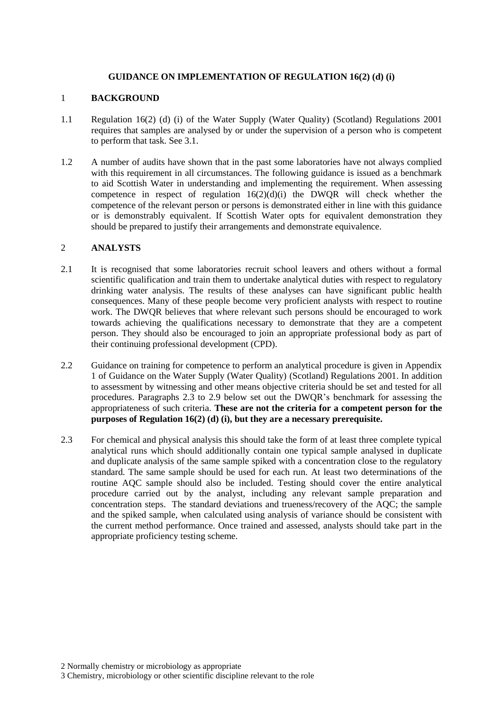### **GUIDANCE ON IMPLEMENTATION OF REGULATION 16(2) (d) (i)**

### 1 **BACKGROUND**

- 1.1 Regulation 16(2) (d) (i) of the Water Supply (Water Quality) (Scotland) Regulations 2001 requires that samples are analysed by or under the supervision of a person who is competent to perform that task. See 3.1.
- 1.2 A number of audits have shown that in the past some laboratories have not always complied with this requirement in all circumstances. The following guidance is issued as a benchmark to aid Scottish Water in understanding and implementing the requirement. When assessing competence in respect of regulation  $16(2)(d)(i)$  the DWQR will check whether the competence of the relevant person or persons is demonstrated either in line with this guidance or is demonstrably equivalent. If Scottish Water opts for equivalent demonstration they should be prepared to justify their arrangements and demonstrate equivalence.

### 2 **ANALYSTS**

- 2.1 It is recognised that some laboratories recruit school leavers and others without a formal scientific qualification and train them to undertake analytical duties with respect to regulatory drinking water analysis. The results of these analyses can have significant public health consequences. Many of these people become very proficient analysts with respect to routine work. The DWQR believes that where relevant such persons should be encouraged to work towards achieving the qualifications necessary to demonstrate that they are a competent person. They should also be encouraged to join an appropriate professional body as part of their continuing professional development (CPD).
- 2.2 Guidance on training for competence to perform an analytical procedure is given in Appendix 1 of Guidance on the Water Supply (Water Quality) (Scotland) Regulations 2001. In addition to assessment by witnessing and other means objective criteria should be set and tested for all procedures. Paragraphs 2.3 to 2.9 below set out the DWQR's benchmark for assessing the appropriateness of such criteria. **These are not the criteria for a competent person for the purposes of Regulation 16(2) (d) (i), but they are a necessary prerequisite.**
- 2.3 For chemical and physical analysis this should take the form of at least three complete typical analytical runs which should additionally contain one typical sample analysed in duplicate and duplicate analysis of the same sample spiked with a concentration close to the regulatory standard. The same sample should be used for each run. At least two determinations of the routine AQC sample should also be included. Testing should cover the entire analytical procedure carried out by the analyst, including any relevant sample preparation and concentration steps. The standard deviations and trueness/recovery of the AQC; the sample and the spiked sample, when calculated using analysis of variance should be consistent with the current method performance. Once trained and assessed, analysts should take part in the appropriate proficiency testing scheme.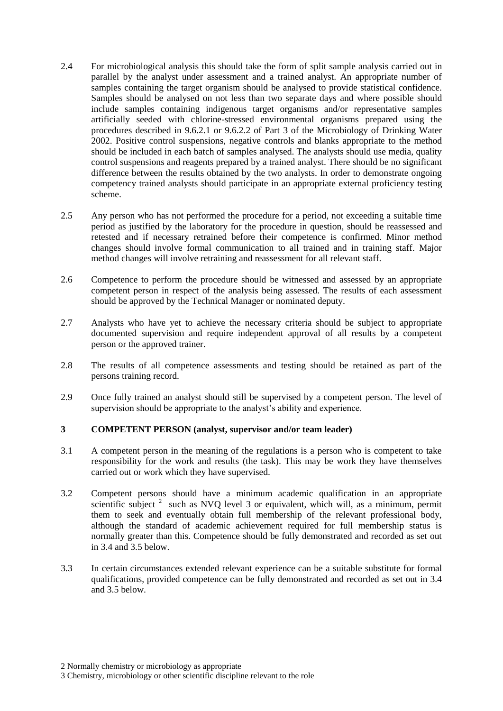- 2.4 For microbiological analysis this should take the form of split sample analysis carried out in parallel by the analyst under assessment and a trained analyst. An appropriate number of samples containing the target organism should be analysed to provide statistical confidence. Samples should be analysed on not less than two separate days and where possible should include samples containing indigenous target organisms and/or representative samples artificially seeded with chlorine-stressed environmental organisms prepared using the procedures described in 9.6.2.1 or 9.6.2.2 of Part 3 of the Microbiology of Drinking Water 2002. Positive control suspensions, negative controls and blanks appropriate to the method should be included in each batch of samples analysed. The analysts should use media, quality control suspensions and reagents prepared by a trained analyst. There should be no significant difference between the results obtained by the two analysts. In order to demonstrate ongoing competency trained analysts should participate in an appropriate external proficiency testing scheme.
- 2.5 Any person who has not performed the procedure for a period, not exceeding a suitable time period as justified by the laboratory for the procedure in question, should be reassessed and retested and if necessary retrained before their competence is confirmed. Minor method changes should involve formal communication to all trained and in training staff. Major method changes will involve retraining and reassessment for all relevant staff.
- 2.6 Competence to perform the procedure should be witnessed and assessed by an appropriate competent person in respect of the analysis being assessed. The results of each assessment should be approved by the Technical Manager or nominated deputy.
- 2.7 Analysts who have yet to achieve the necessary criteria should be subject to appropriate documented supervision and require independent approval of all results by a competent person or the approved trainer.
- 2.8 The results of all competence assessments and testing should be retained as part of the persons training record.
- 2.9 Once fully trained an analyst should still be supervised by a competent person. The level of supervision should be appropriate to the analyst's ability and experience.

#### **3 COMPETENT PERSON (analyst, supervisor and/or team leader)**

- 3.1 A competent person in the meaning of the regulations is a person who is competent to take responsibility for the work and results (the task). This may be work they have themselves carried out or work which they have supervised.
- 3.2 Competent persons should have a minimum academic qualification in an appropriate scientific subject  $2$  such as NVQ level 3 or equivalent, which will, as a minimum, permit them to seek and eventually obtain full membership of the relevant professional body, although the standard of academic achievement required for full membership status is normally greater than this. Competence should be fully demonstrated and recorded as set out in 3.4 and 3.5 below.
- 3.3 In certain circumstances extended relevant experience can be a suitable substitute for formal qualifications, provided competence can be fully demonstrated and recorded as set out in 3.4 and 3.5 below.

<sup>2</sup> Normally chemistry or microbiology as appropriate

<sup>3</sup> Chemistry, microbiology or other scientific discipline relevant to the role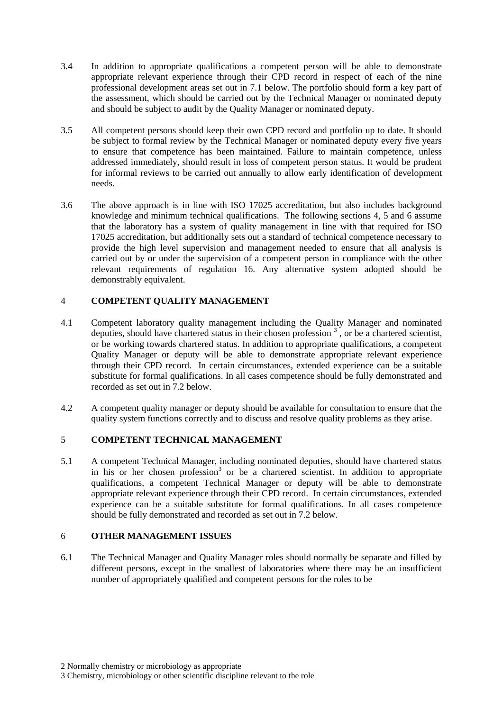- 3.4 In addition to appropriate qualifications a competent person will be able to demonstrate appropriate relevant experience through their CPD record in respect of each of the nine professional development areas set out in 7.1 below. The portfolio should form a key part of the assessment, which should be carried out by the Technical Manager or nominated deputy and should be subject to audit by the Quality Manager or nominated deputy.
- 3.5 All competent persons should keep their own CPD record and portfolio up to date. It should be subject to formal review by the Technical Manager or nominated deputy every five years to ensure that competence has been maintained. Failure to maintain competence, unless addressed immediately, should result in loss of competent person status. It would be prudent for informal reviews to be carried out annually to allow early identification of development needs.
- 3.6 The above approach is in line with ISO 17025 accreditation, but also includes background knowledge and minimum technical qualifications. The following sections 4, 5 and 6 assume that the laboratory has a system of quality management in line with that required for ISO 17025 accreditation, but additionally sets out a standard of technical competence necessary to provide the high level supervision and management needed to ensure that all analysis is carried out by or under the supervision of a competent person in compliance with the other relevant requirements of regulation 16. Any alternative system adopted should be demonstrably equivalent.

# 4 **COMPETENT QUALITY MANAGEMENT**

- 4.1 Competent laboratory quality management including the Quality Manager and nominated deputies, should have chartered status in their chosen profession  $3$ , or be a chartered scientist, or be working towards chartered status. In addition to appropriate qualifications, a competent Quality Manager or deputy will be able to demonstrate appropriate relevant experience through their CPD record. In certain circumstances, extended experience can be a suitable substitute for formal qualifications. In all cases competence should be fully demonstrated and recorded as set out in 7.2 below.
- 4.2 A competent quality manager or deputy should be available for consultation to ensure that the quality system functions correctly and to discuss and resolve quality problems as they arise.

# 5 **COMPETENT TECHNICAL MANAGEMENT**

5.1 A competent Technical Manager, including nominated deputies, should have chartered status in his or her chosen profession<sup>3</sup> or be a chartered scientist. In addition to appropriate qualifications, a competent Technical Manager or deputy will be able to demonstrate appropriate relevant experience through their CPD record. In certain circumstances, extended experience can be a suitable substitute for formal qualifications. In all cases competence should be fully demonstrated and recorded as set out in 7.2 below.

#### 6 **OTHER MANAGEMENT ISSUES**

6.1 The Technical Manager and Quality Manager roles should normally be separate and filled by different persons, except in the smallest of laboratories where there may be an insufficient number of appropriately qualified and competent persons for the roles to be

<sup>2</sup> Normally chemistry or microbiology as appropriate

<sup>3</sup> Chemistry, microbiology or other scientific discipline relevant to the role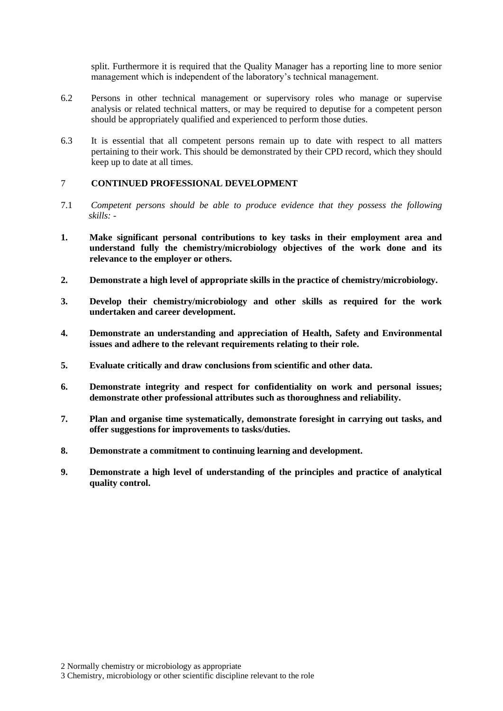split. Furthermore it is required that the Quality Manager has a reporting line to more senior management which is independent of the laboratory's technical management.

- 6.2 Persons in other technical management or supervisory roles who manage or supervise analysis or related technical matters, or may be required to deputise for a competent person should be appropriately qualified and experienced to perform those duties.
- 6.3 It is essential that all competent persons remain up to date with respect to all matters pertaining to their work. This should be demonstrated by their CPD record, which they should keep up to date at all times.

### 7 **CONTINUED PROFESSIONAL DEVELOPMENT**

- 7.1 *Competent persons should be able to produce evidence that they possess the following skills: -*
- **1. Make significant personal contributions to key tasks in their employment area and understand fully the chemistry/microbiology objectives of the work done and its relevance to the employer or others.**
- **2. Demonstrate a high level of appropriate skills in the practice of chemistry/microbiology.**
- **3. Develop their chemistry/microbiology and other skills as required for the work undertaken and career development.**
- **4. Demonstrate an understanding and appreciation of Health, Safety and Environmental issues and adhere to the relevant requirements relating to their role.**
- **5. Evaluate critically and draw conclusions from scientific and other data.**
- **6. Demonstrate integrity and respect for confidentiality on work and personal issues; demonstrate other professional attributes such as thoroughness and reliability.**
- **7. Plan and organise time systematically, demonstrate foresight in carrying out tasks, and offer suggestions for improvements to tasks/duties.**
- **8. Demonstrate a commitment to continuing learning and development.**
- **9. Demonstrate a high level of understanding of the principles and practice of analytical quality control.**

<sup>2</sup> Normally chemistry or microbiology as appropriate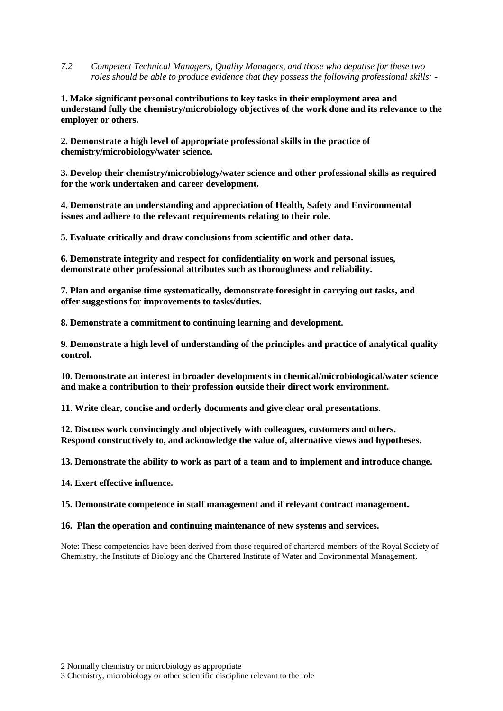*7.2 Competent Technical Managers, Quality Managers, and those who deputise for these two roles should be able to produce evidence that they possess the following professional skills: -*

**1. Make significant personal contributions to key tasks in their employment area and understand fully the chemistry/microbiology objectives of the work done and its relevance to the employer or others.**

**2. Demonstrate a high level of appropriate professional skills in the practice of chemistry/microbiology/water science.**

**3. Develop their chemistry/microbiology/water science and other professional skills as required for the work undertaken and career development.**

**4. Demonstrate an understanding and appreciation of Health, Safety and Environmental issues and adhere to the relevant requirements relating to their role.**

**5. Evaluate critically and draw conclusions from scientific and other data.**

**6. Demonstrate integrity and respect for confidentiality on work and personal issues, demonstrate other professional attributes such as thoroughness and reliability.**

**7. Plan and organise time systematically, demonstrate foresight in carrying out tasks, and offer suggestions for improvements to tasks/duties.**

**8. Demonstrate a commitment to continuing learning and development.**

**9. Demonstrate a high level of understanding of the principles and practice of analytical quality control.**

**10. Demonstrate an interest in broader developments in chemical/microbiological/water science and make a contribution to their profession outside their direct work environment.**

**11. Write clear, concise and orderly documents and give clear oral presentations.**

**12. Discuss work convincingly and objectively with colleagues, customers and others. Respond constructively to, and acknowledge the value of, alternative views and hypotheses.**

**13. Demonstrate the ability to work as part of a team and to implement and introduce change.**

**14. Exert effective influence.**

**15. Demonstrate competence in staff management and if relevant contract management.**

#### **16. Plan the operation and continuing maintenance of new systems and services.**

Note: These competencies have been derived from those required of chartered members of the Royal Society of Chemistry, the Institute of Biology and the Chartered Institute of Water and Environmental Management.